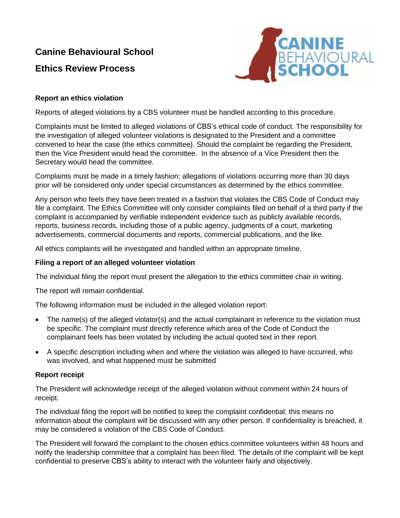# **Canine Behavioural School**

# **Ethics Review Process**



# **Report an ethics violation**

Reports of alleged violations by a CBS volunteer must be handled according to this procedure.

Complaints must be limited to alleged violations of CBS's ethical code of conduct. The responsibility for the investigation of alleged volunteer violations is designated to the President and a committee convened to hear the case (the ethics committee). Should the complaint be regarding the President, then the Vice President would head the committee. In the absence of a Vice President then the Secretary would head the committee.

Complaints must be made in a timely fashion; allegations of violations occurring more than 30 days prior will be considered only under special circumstances as determined by the ethics committee.

Any person who feels they have been treated in a fashion that violates the CBS Code of Conduct may file a complaint. The Ethics Committee will only consider complaints filed on behalf of a third party if the complaint is accompanied by verifiable independent evidence such as publicly available records, reports, business records, including those of a public agency, judgments of a court, marketing advertisements, commercial documents and reports, commercial publications, and the like.

All ethics complaints will be investigated and handled within an appropriate timeline.

### **Filing a report of an alleged volunteer violation**

The individual filing the report must present the allegation to the ethics committee chair in writing.

The report will remain confidential.

The following information must be included in the alleged violation report:

- The name(s) of the alleged violator(s) and the actual complainant in reference to the violation must be specific. The complaint must directly reference which area of the Code of Conduct the complainant feels has been violated by including the actual quoted text in their report.
- A specific description including when and where the violation was alleged to have occurred, who was involved, and what happened must be submitted

# **Report receipt**

The President will acknowledge receipt of the alleged violation without comment within 24 hours of receipt.

The individual filing the report will be notified to keep the complaint confidential; this means no information about the complaint will be discussed with any other person. If confidentiality is breached, it may be considered a violation of the CBS Code of Conduct.

The President will forward the complaint to the chosen ethics committee volunteers within 48 hours and notify the leadership committee that a complaint has been filed. The details of the complaint will be kept confidential to preserve CBS's ability to interact with the volunteer fairly and objectively.